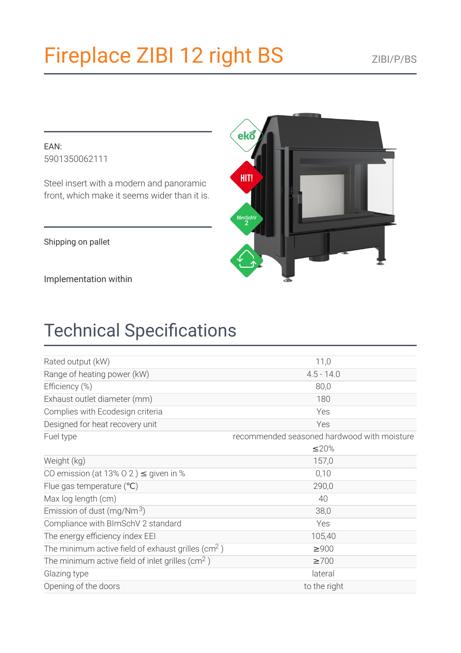# Fireplace ZIBI 12 right BS

EAN: 5901350062111

Steel insert with a modern and panoramic front, which make it seems wider than it is.

Shipping on pallet

Implementation within

## **Technical Specifications**

| Rated output (kW)                                             | 11,0                                        |
|---------------------------------------------------------------|---------------------------------------------|
| Range of heating power (kW)                                   | $4.5 - 14.0$                                |
| Efficiency (%)                                                | 80,0                                        |
| Exhaust outlet diameter (mm)                                  | 180                                         |
| Complies with Ecodesign criteria                              | Yes                                         |
| Designed for heat recovery unit                               | Yes                                         |
| Fuel type                                                     | recommended seasoned hardwood with moisture |
|                                                               | ≤20%                                        |
| Weight (kg)                                                   | 157,0                                       |
| CO emission (at 13% O 2) $\leq$ given in %                    | 0,10                                        |
| Flue gas temperature $(C)$                                    | 290,0                                       |
| Max log length (cm)                                           | 40                                          |
| Emission of dust (mg/Nm <sup>3</sup> )                        | 38,0                                        |
| Compliance with BImSchV 2 standard                            | Yes                                         |
| The energy efficiency index EEI                               | 105,40                                      |
| The minimum active field of exhaust grilles ( $\text{cm}^2$ ) | $\geq 900$                                  |
| The minimum active field of inlet grilles ( $\text{cm}^2$ )   | $\geq 700$                                  |
| Glazing type                                                  | lateral                                     |
| Opening of the doors                                          | to the right                                |

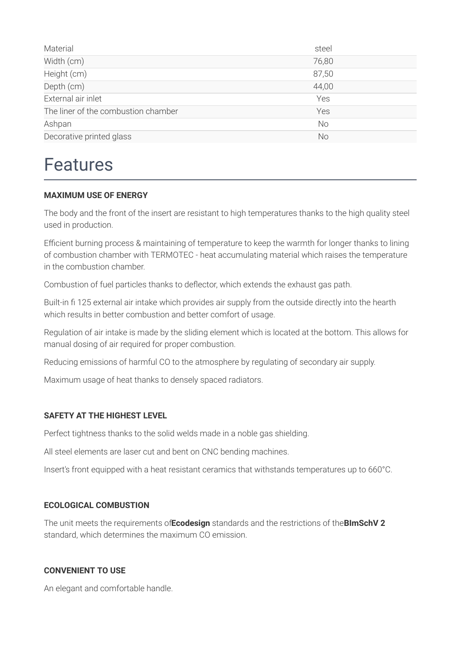| Material                            | steel     |
|-------------------------------------|-----------|
| Width (cm)                          | 76,80     |
| Height (cm)                         | 87,50     |
| Depth (cm)                          | 44,00     |
| External air inlet                  | Yes       |
| The liner of the combustion chamber | Yes       |
| Ashpan                              | <b>No</b> |
| Decorative printed glass            | No        |

### **Features**

#### **MAXIMUM USE OF ENERGY**

The body and the front of the insert are resistant to high temperatures thanks to the high quality steel used in production.

Efficient burning process & maintaining of temperature to keep the warmth for longer thanks to lining of combustion chamber with TERMOTEC - heat accumulating material which raises the temperature in the combustion chamber.

Combustion of fuel particles thanks to deflector, which extends the exhaust gas path.

Built-in fi 125 external air intake which provides air supply from the outside directly into the hearth which results in better combustion and better comfort of usage.

Regulation of air intake is made by the sliding element which is located at the bottom. This allows for manual dosing of air required for proper combustion.

Reducing emissions of harmful CO to the atmosphere by regulating of secondary air supply.

Maximum usage of heat thanks to densely spaced radiators.

#### **SAFETY AT THE HIGHEST LEVEL**

Perfect tightness thanks to the solid welds made in a noble gas shielding.

All steel elements are laser cut and bent on CNC bending machines.

Insert's front equipped with a heat resistant ceramics that withstands temperatures up to 660°C.

#### **ECOLOGICAL COMBUSTION**

The unit meets the requirements of Ecodesign standards and the restrictions of the BImSchV 2 standard, which determines the maximum CO emission.

#### **CONVENIENT TO USE**

An elegant and comfortable handle.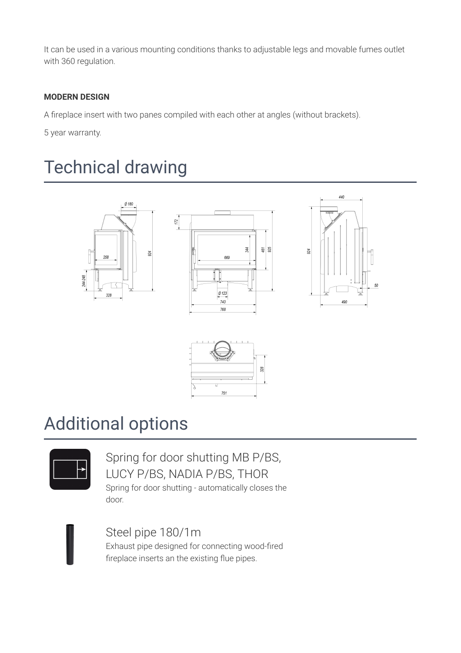It can be used in a various mounting conditions thanks to adjustable legs and movable fumes outlet with 360 regulation.

#### **MODERN DESIGN**

A fireplace insert with two panes compiled with each other at angles (without brackets).

 $172$ 

5 year warranty.

### **Technical drawing**









### **Additional options**



Spring for door shutting MB P/BS, LUCY P/BS, NADIA P/BS, THOR Spring for door shutting - automatically closes the

door.



Steel pipe 180/1m

Exhaust pipe designed for connecting wood-fired fireplace inserts an the existing flue pipes.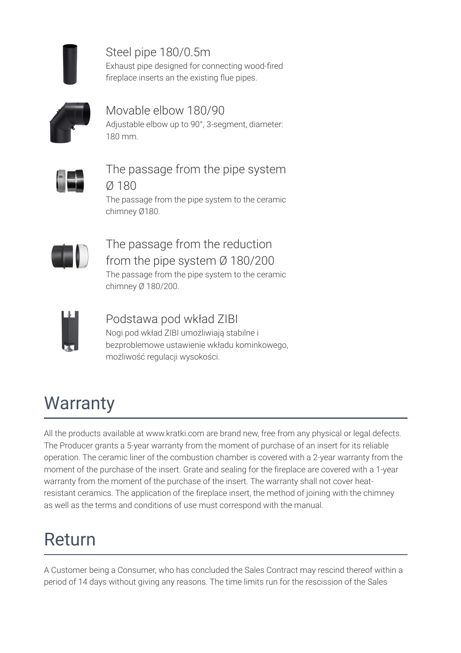

Steel pipe 180/0.5m Exhaust pipe designed for connecting wood-fired fireplace inserts an the existing flue pipes.



Movable elbow 180/90

Adjustable elbow up to 90°, 3-segment, diameter: 180 mm.



The passage from the pipe system

Ø 180 The passage from the pipe system to the ceramic chimney Ø180.



The passage from the reduction from the pipe system  $\varnothing$  180/200 The passage from the pipe system to the ceramic chimney Ø 180/200.



### Podstawa pod wkład ZIBI

Nogi pod wkład ZIBI umożliwiają stabilne i bezproblemowe ustawienie wkładu kominkowego, możliwość regulacji wysokości.

## Warranty

All the products available at www.kratki.com are brand new, free from any physical or legal defects. The Producer grants a 5-year warranty from the moment of purchase of an insert for its reliable operation. The ceramic liner of the combustion chamber is covered with a 2-year warranty from the moment of the purchase of the insert. Grate and sealing for the fireplace are covered with a 1-year warranty from the moment of the purchase of the insert. The warranty shall not cover heatresistant ceramics. The application of the fireplace insert, the method of joining with the chimney as well as the terms and conditions of use must correspond with the manual.

### Return

A Customer being a Consumer, who has concluded the Sales Contract may rescind thereof within a period of 14 days without giving any reasons. The time limits run for the rescission of the Sales